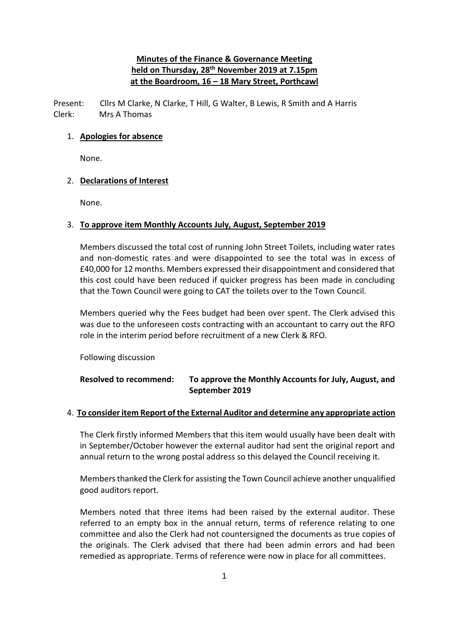# **Minutes of the Finance & Governance Meeting held on Thursday, 28th November 2019 at 7.15pm at the Boardroom, 16 – 18 Mary Street, Porthcawl**

Present: Cllrs M Clarke, N Clarke, T Hill, G Walter, B Lewis, R Smith and A Harris Clerk: Mrs A Thomas

# 1. **Apologies for absence**

None.

## 2. **Declarations of Interest**

None.

## 3. **To approve item Monthly Accounts July, August, September 2019**

Members discussed the total cost of running John Street Toilets, including water rates and non-domestic rates and were disappointed to see the total was in excess of £40,000 for 12 months. Members expressed their disappointment and considered that this cost could have been reduced if quicker progress has been made in concluding that the Town Council were going to CAT the toilets over to the Town Council.

Members queried why the Fees budget had been over spent. The Clerk advised this was due to the unforeseen costs contracting with an accountant to carry out the RFO role in the interim period before recruitment of a new Clerk & RFO.

Following discussion

# **Resolved to recommend: To approve the Monthly Accounts for July, August, and September 2019**

#### 4. **To consider item Report of the External Auditor and determine any appropriate action**

The Clerk firstly informed Members that this item would usually have been dealt with in September/October however the external auditor had sent the original report and annual return to the wrong postal address so this delayed the Council receiving it.

Members thanked the Clerk for assisting the Town Council achieve another unqualified good auditors report.

Members noted that three items had been raised by the external auditor. These referred to an empty box in the annual return, terms of reference relating to one committee and also the Clerk had not countersigned the documents as true copies of the originals. The Clerk advised that there had been admin errors and had been remedied as appropriate. Terms of reference were now in place for all committees.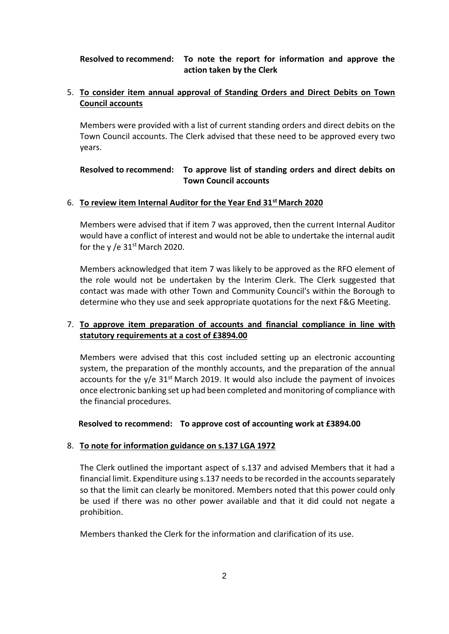### **Resolved to recommend: To note the report for information and approve the action taken by the Clerk**

# 5. **To consider item annual approval of Standing Orders and Direct Debits on Town Council accounts**

Members were provided with a list of current standing orders and direct debits on the Town Council accounts. The Clerk advised that these need to be approved every two years.

# **Resolved to recommend: To approve list of standing orders and direct debits on Town Council accounts**

#### 6. **To review item Internal Auditor for the Year End 31st March 2020**

Members were advised that if item 7 was approved, then the current Internal Auditor would have a conflict of interest and would not be able to undertake the internal audit for the y /e  $31<sup>st</sup>$  March 2020.

Members acknowledged that item 7 was likely to be approved as the RFO element of the role would not be undertaken by the Interim Clerk. The Clerk suggested that contact was made with other Town and Community Council's within the Borough to determine who they use and seek appropriate quotations for the next F&G Meeting.

# 7. **To approve item preparation of accounts and financial compliance in line with statutory requirements at a cost of £3894.00**

Members were advised that this cost included setting up an electronic accounting system, the preparation of the monthly accounts, and the preparation of the annual accounts for the  $y/e$  31st March 2019. It would also include the payment of invoices once electronic banking set up had been completed and monitoring of compliance with the financial procedures.

**Resolved to recommend: To approve cost of accounting work at £3894.00**

#### 8. **To note for information guidance on s.137 LGA 1972**

The Clerk outlined the important aspect of s.137 and advised Members that it had a financial limit. Expenditure using s.137 needs to be recorded in the accounts separately so that the limit can clearly be monitored. Members noted that this power could only be used if there was no other power available and that it did could not negate a prohibition.

Members thanked the Clerk for the information and clarification of its use.